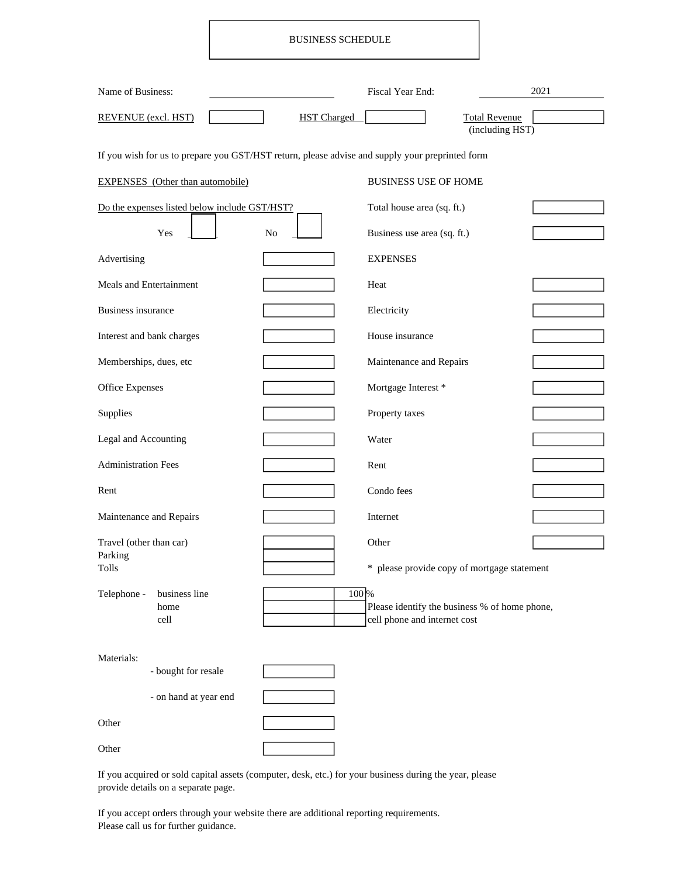## BUSINESS SCHEDULE

| Name of Business:                                                                               |                    | Fiscal Year End:                                                              | 2021                                    |  |  |  |
|-------------------------------------------------------------------------------------------------|--------------------|-------------------------------------------------------------------------------|-----------------------------------------|--|--|--|
| <b>REVENUE</b> (excl. HST)                                                                      | <b>HST</b> Charged |                                                                               | <b>Total Revenue</b><br>(including HST) |  |  |  |
| If you wish for us to prepare you GST/HST return, please advise and supply your preprinted form |                    |                                                                               |                                         |  |  |  |
| <b>EXPENSES</b> (Other than automobile)                                                         |                    | <b>BUSINESS USE OF HOME</b>                                                   |                                         |  |  |  |
| Do the expenses listed below include GST/HST?                                                   |                    | Total house area (sq. ft.)                                                    |                                         |  |  |  |
| Yes                                                                                             | N <sub>o</sub>     | Business use area (sq. ft.)                                                   |                                         |  |  |  |
| Advertising                                                                                     |                    | <b>EXPENSES</b>                                                               |                                         |  |  |  |
| Meals and Entertainment                                                                         |                    | Heat                                                                          |                                         |  |  |  |
| <b>Business insurance</b>                                                                       |                    | Electricity                                                                   |                                         |  |  |  |
| Interest and bank charges                                                                       |                    | House insurance                                                               |                                         |  |  |  |
| Memberships, dues, etc                                                                          |                    | Maintenance and Repairs                                                       |                                         |  |  |  |
| <b>Office Expenses</b>                                                                          |                    | Mortgage Interest *                                                           |                                         |  |  |  |
| Supplies                                                                                        |                    | Property taxes                                                                |                                         |  |  |  |
| Legal and Accounting                                                                            |                    | Water                                                                         |                                         |  |  |  |
| <b>Administration Fees</b>                                                                      |                    | Rent                                                                          |                                         |  |  |  |
| Rent                                                                                            |                    | Condo fees                                                                    |                                         |  |  |  |
| Maintenance and Repairs                                                                         |                    | Internet                                                                      |                                         |  |  |  |
| Travel (other than car)<br>Parking                                                              |                    | Other                                                                         |                                         |  |  |  |
| Tolls                                                                                           |                    | * please provide copy of mortgage statement                                   |                                         |  |  |  |
| Telephone -<br>business line<br>home<br>cell                                                    | 100%               | Please identify the business % of home phone,<br>cell phone and internet cost |                                         |  |  |  |
|                                                                                                 |                    |                                                                               |                                         |  |  |  |
| Materials:<br>- bought for resale                                                               |                    |                                                                               |                                         |  |  |  |
| - on hand at year end                                                                           |                    |                                                                               |                                         |  |  |  |
| Other                                                                                           |                    |                                                                               |                                         |  |  |  |
| Other                                                                                           |                    |                                                                               |                                         |  |  |  |

If you acquired or sold capital assets (computer, desk, etc.) for your business during the year, please provide details on a separate page.

If you accept orders through your website there are additional reporting requirements. Please call us for further guidance.